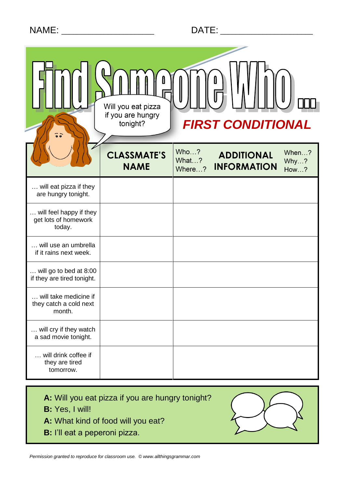# NAME: \_\_\_\_\_\_\_\_\_\_\_\_\_\_\_\_\_\_\_\_\_\_\_\_ DATE: \_\_\_\_\_\_\_\_\_\_\_\_\_\_\_\_\_\_\_\_\_\_\_\_

| $\overline{\bullet}$ $\overline{\bullet}$                 | Will you eat pizza<br>if you are hungry<br><b>FIRST CONDITIONAL</b><br>tonight? |                         |                                         |                       |
|-----------------------------------------------------------|---------------------------------------------------------------------------------|-------------------------|-----------------------------------------|-----------------------|
|                                                           | <b>CLASSMATE'S</b><br><b>NAME</b>                                               | Who?<br>What?<br>Where? | <b>ADDITIONAL</b><br><b>INFORMATION</b> | When?<br>Why?<br>How? |
| will eat pizza if they<br>are hungry tonight.             |                                                                                 |                         |                                         |                       |
| will feel happy if they<br>get lots of homework<br>today. |                                                                                 |                         |                                         |                       |
| will use an umbrella<br>if it rains next week.            |                                                                                 |                         |                                         |                       |
| will go to bed at 8:00<br>if they are tired tonight.      |                                                                                 |                         |                                         |                       |
| will take medicine if<br>they catch a cold next<br>month. |                                                                                 |                         |                                         |                       |
| will cry if they watch<br>a sad movie tonight.            |                                                                                 |                         |                                         |                       |
| will drink coffee if<br>they are tired<br>tomorrow.       |                                                                                 |                         |                                         |                       |

**A:** Will you eat pizza if you are hungry tonight?

**B:** Yes, I will!

**A:** What kind of food will you eat?

**B:** I'll eat a peperoni pizza.